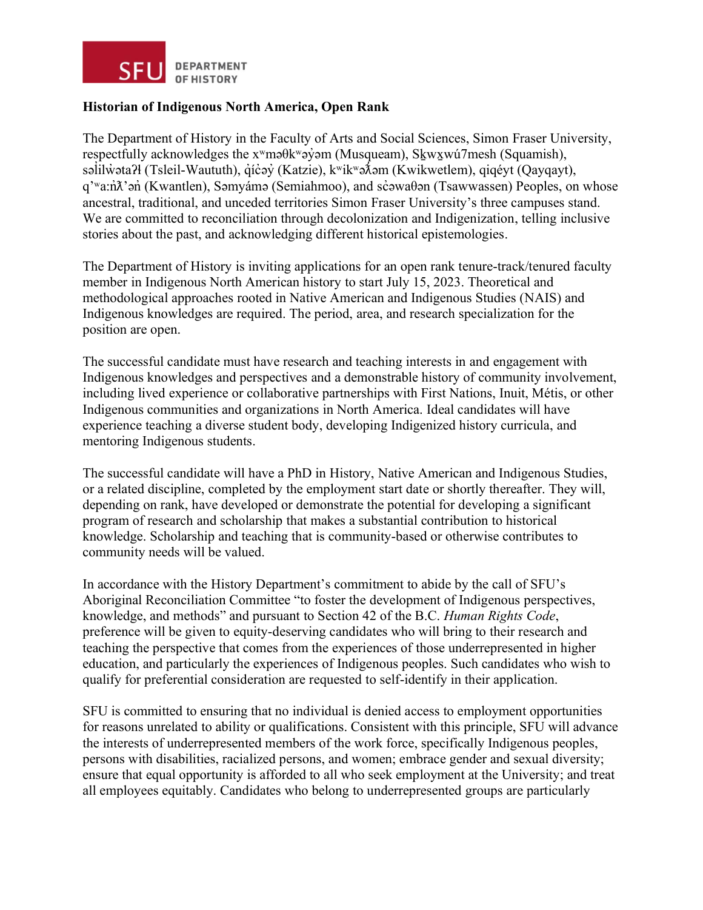

## **Historian of Indigenous North America, Open Rank**

The Department of History in the Faculty of Arts and Social Sciences, Simon Fraser University, respectfully acknowledges the  $x^w$ mə $\theta$ k $^w$ əy̓əm (Musqueam), Skwxwú7mesh (Squamish), səlilwətaʔł (Tsleil-Waututh), qı́c̓əy̓ (Katzie), kʷikʷəðəm (Kwikwetlem), qiqéyt (Qayqayt), ̓ q'<sup>w</sup>a:nλ'an<sup>'</sup> (Kwantlen), Səmyámə (Semiahmoo), and sc̓əwaθən (Tsawwassen) Peoples, on whose ancestral, traditional, and unceded territories Simon Fraser University's three campuses stand. We are committed to reconciliation through decolonization and Indigenization, telling inclusive stories about the past, and acknowledging different historical epistemologies.

The Department of History is inviting applications for an open rank tenure-track/tenured faculty member in Indigenous North American history to start July 15, 2023. Theoretical and methodological approaches rooted in Native American and Indigenous Studies (NAIS) and Indigenous knowledges are required. The period, area, and research specialization for the position are open.

The successful candidate must have research and teaching interests in and engagement with Indigenous knowledges and perspectives and a demonstrable history of community involvement, including lived experience or collaborative partnerships with First Nations, Inuit, Métis, or other Indigenous communities and organizations in North America. Ideal candidates will have experience teaching a diverse student body, developing Indigenized history curricula, and mentoring Indigenous students.

The successful candidate will have a PhD in History, Native American and Indigenous Studies, or a related discipline, completed by the employment start date or shortly thereafter. They will, depending on rank, have developed or demonstrate the potential for developing a significant program of research and scholarship that makes a substantial contribution to historical knowledge. Scholarship and teaching that is community-based or otherwise contributes to community needs will be valued.

In accordance with the History Department's commitment to abide by the call of SFU's Aboriginal Reconciliation Committee "to foster the development of Indigenous perspectives, knowledge, and methods" and pursuant to Section 42 of the B.C. *Human Rights Code*, preference will be given to equity-deserving candidates who will bring to their research and teaching the perspective that comes from the experiences of those underrepresented in higher education, and particularly the experiences of Indigenous peoples. Such candidates who wish to qualify for preferential consideration are requested to self-identify in their application.

SFU is committed to ensuring that no individual is denied access to employment opportunities for reasons unrelated to ability or qualifications. Consistent with this principle, SFU will advance the interests of underrepresented members of the work force, specifically Indigenous peoples, persons with disabilities, racialized persons, and women; embrace gender and sexual diversity; ensure that equal opportunity is afforded to all who seek employment at the University; and treat all employees equitably. Candidates who belong to underrepresented groups are particularly